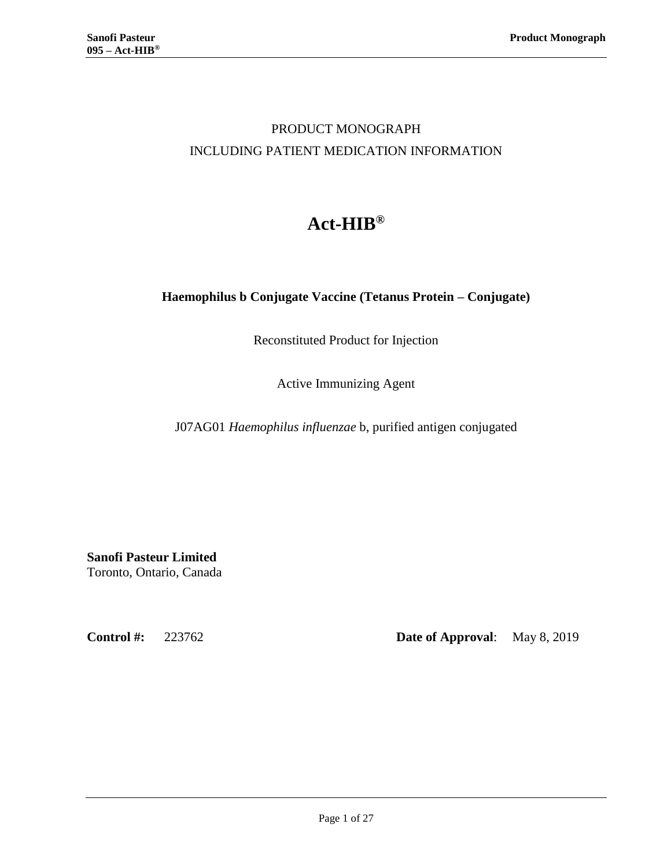## PRODUCT MONOGRAPH INCLUDING PATIENT MEDICATION INFORMATION

# **Act-HIB®**

## **Haemophilus b Conjugate Vaccine (Tetanus Protein – Conjugate)**

Reconstituted Product for Injection

Active Immunizing Agent

J07AG01 *Haemophilus influenzae* b, purified antigen conjugated

**Sanofi Pasteur Limited** Toronto, Ontario, Canada

**Control #:** 223762 **Date of Approval**: May 8, 2019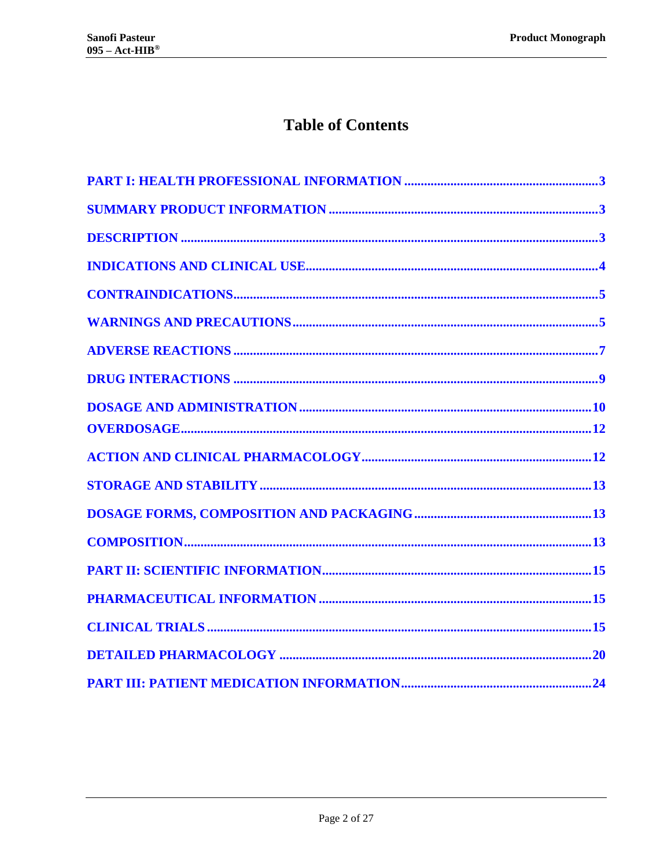## **Table of Contents**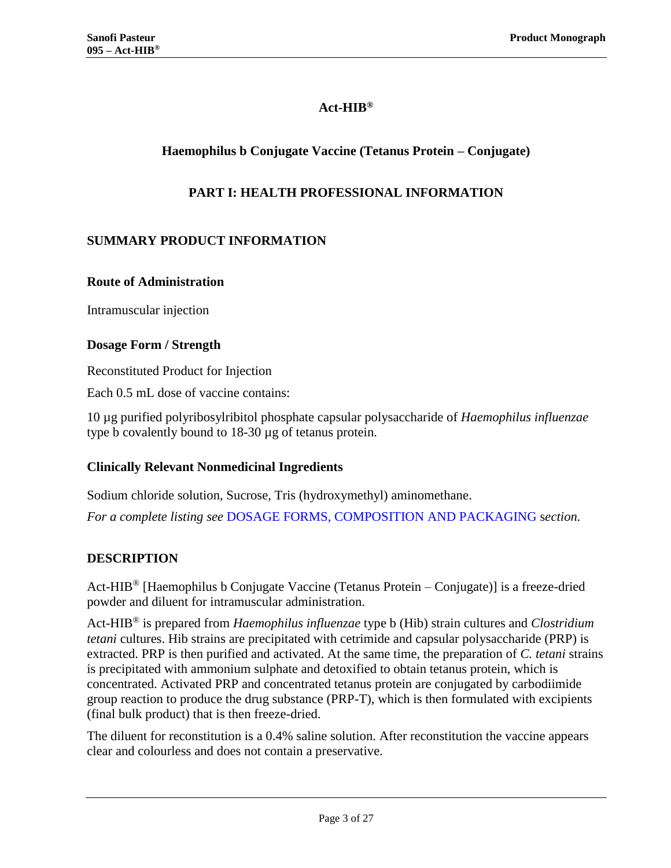## **Act-HIB®**

## **Haemophilus b Conjugate Vaccine (Tetanus Protein – Conjugate)**

## **PART I: HEALTH PROFESSIONAL INFORMATION**

## <span id="page-2-1"></span><span id="page-2-0"></span>**SUMMARY PRODUCT INFORMATION**

#### **Route of Administration**

Intramuscular injection

## **Dosage Form / Strength**

Reconstituted Product for Injection

Each 0.5 mL dose of vaccine contains:

10 µg purified polyribosylribitol phosphate capsular polysaccharide of *Haemophilus influenzae* type b covalently bound to 18-30 µg of tetanus protein.

## **Clinically Relevant Nonmedicinal Ingredients**

Sodium chloride solution, Sucrose, Tris (hydroxymethyl) aminomethane.

<span id="page-2-2"></span>*For a complete listing see* [DOSAGE FORMS, COMPOSITION AND PACKAGING](#page-12-1) s*ection.*

## **DESCRIPTION**

Act-HIB<sup>®</sup> [Haemophilus b Conjugate Vaccine (Tetanus Protein – Conjugate)] is a freeze-dried powder and diluent for intramuscular administration.

Act-HIB® is prepared from *Haemophilus influenzae* type b (Hib) strain cultures and *Clostridium tetani* cultures. Hib strains are precipitated with cetrimide and capsular polysaccharide (PRP) is extracted. PRP is then purified and activated. At the same time, the preparation of *C. tetani* strains is precipitated with ammonium sulphate and detoxified to obtain tetanus protein, which is concentrated. Activated PRP and concentrated tetanus protein are conjugated by carbodiimide group reaction to produce the drug substance (PRP-T), which is then formulated with excipients (final bulk product) that is then freeze-dried.

The diluent for reconstitution is a 0.4% saline solution. After reconstitution the vaccine appears clear and colourless and does not contain a preservative.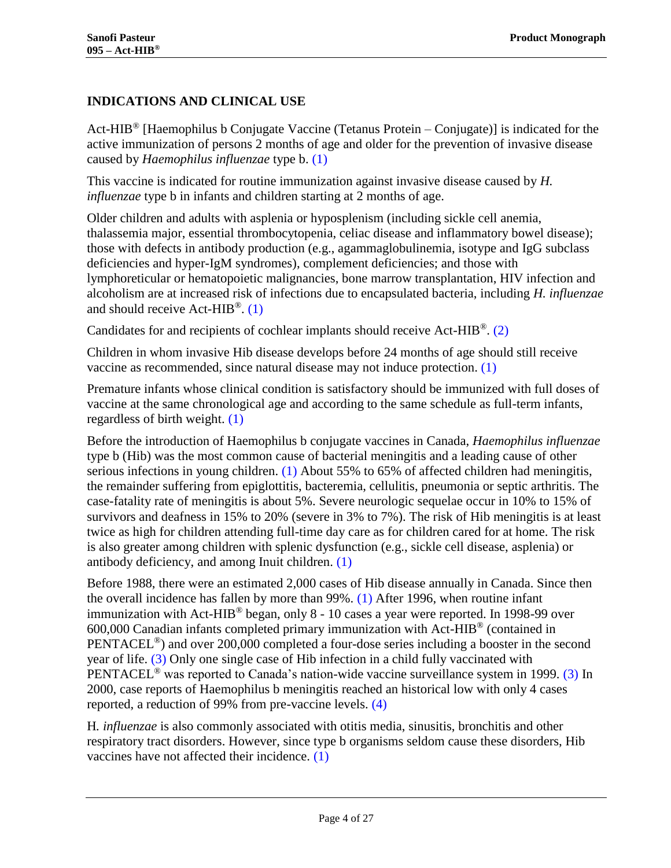## <span id="page-3-0"></span>**INDICATIONS AND CLINICAL USE**

Act-HIB<sup>®</sup> [Haemophilus b Conjugate Vaccine (Tetanus Protein – Conjugate)] is indicated for the active immunization of persons 2 months of age and older for the prevention of invasive disease caused by *Haemophilus influenzae* type b. [\(1\)](#page-20-0)

This vaccine is indicated for routine immunization against invasive disease caused by *H. influenzae* type b in infants and children starting at 2 months of age.

Older children and adults with asplenia or hyposplenism (including sickle cell anemia, thalassemia major, essential thrombocytopenia, celiac disease and inflammatory bowel disease); those with defects in antibody production (e.g., agammaglobulinemia, isotype and IgG subclass deficiencies and hyper-IgM syndromes), complement deficiencies; and those with lymphoreticular or hematopoietic malignancies, bone marrow transplantation, HIV infection and alcoholism are at increased risk of infections due to encapsulated bacteria, including *H. influenzae* and should receive Act- $HIB^{\circledR}$ . [\(1\)](#page-20-0)

Candidates for and recipients of cochlear implants should receive Act-HIB®. [\(2\)](#page-20-1)

Children in whom invasive Hib disease develops before 24 months of age should still receive vaccine as recommended, since natural disease may not induce protection. [\(1\)](#page-20-0)

Premature infants whose clinical condition is satisfactory should be immunized with full doses of vaccine at the same chronological age and according to the same schedule as full-term infants, regardless of birth weight. [\(1\)](#page-20-0)

Before the introduction of Haemophilus b conjugate vaccines in Canada, *Haemophilus influenzae*  type b (Hib) was the most common cause of bacterial meningitis and a leading cause of other serious infections in young children. [\(1\)](#page-20-0) About 55% to 65% of affected children had meningitis, the remainder suffering from epiglottitis, bacteremia, cellulitis, pneumonia or septic arthritis. The case-fatality rate of meningitis is about 5%. Severe neurologic sequelae occur in 10% to 15% of survivors and deafness in 15% to 20% (severe in 3% to 7%). The risk of Hib meningitis is at least twice as high for children attending full-time day care as for children cared for at home. The risk is also greater among children with splenic dysfunction (e.g., sickle cell disease, asplenia) or antibody deficiency, and among Inuit children. [\(1\)](#page-20-0)

Before 1988, there were an estimated 2,000 cases of Hib disease annually in Canada. Since then the overall incidence has fallen by more than  $99\%$ . [\(1\)](#page-20-0) After 1996, when routine infant immunization with Act-HIB<sup>®</sup> began, only 8 - 10 cases a year were reported. In 1998-99 over 600,000 Canadian infants completed primary immunization with Act-HIB® (contained in PENTACEL®) and over 200,000 completed a four-dose series including a booster in the second year of life. [\(3\)](#page-20-2) Only one single case of Hib infection in a child fully vaccinated with PENTACEL® was reported to Canada's nation-wide vaccine surveillance system in 1999. [\(3\)](#page-20-2) In 2000, case reports of Haemophilus b meningitis reached an historical low with only 4 cases reported, a reduction of 99% from pre-vaccine levels. [\(4\)](#page-20-3)

H*. influenzae* is also commonly associated with otitis media, sinusitis, bronchitis and other respiratory tract disorders. However, since type b organisms seldom cause these disorders, Hib vaccines have not affected their incidence. [\(1\)](#page-20-0)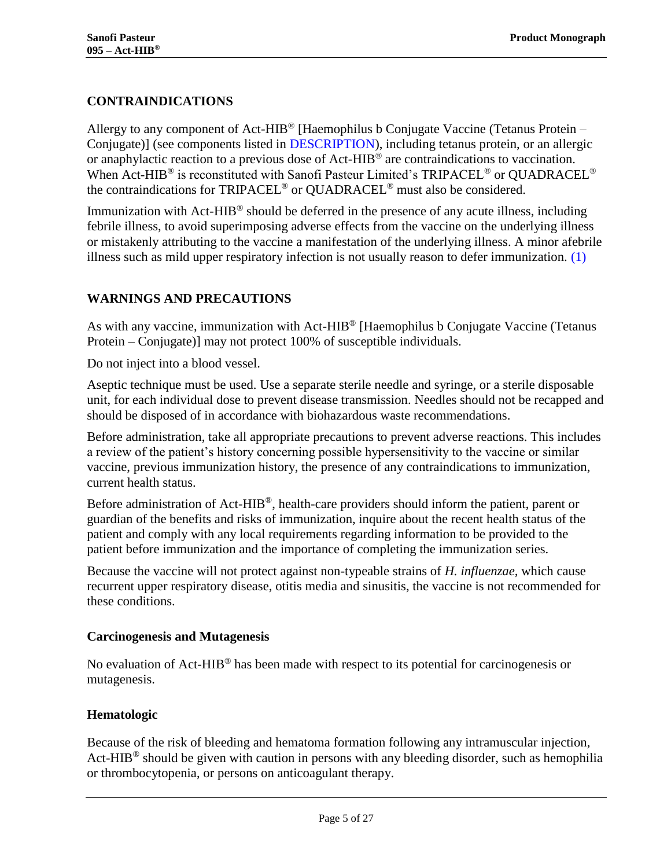## <span id="page-4-0"></span>**CONTRAINDICATIONS**

Allergy to any component of Act-HIB<sup>®</sup> [Haemophilus b Conjugate Vaccine (Tetanus Protein – Conjugate)] (see components listed in [DESCRIPTION\)](#page-2-2), including tetanus protein, or an allergic or anaphylactic reaction to a previous dose of Act-HIB<sup>®</sup> are contraindications to vaccination. When Act-HIB<sup>®</sup> is reconstituted with Sanofi Pasteur Limited's TRIPACEL<sup>®</sup> or QUADRACEL<sup>®</sup> the contraindications for TRIPACEL® or QUADRACEL® must also be considered.

Immunization with Act-HIB<sup>®</sup> should be deferred in the presence of any acute illness, including febrile illness, to avoid superimposing adverse effects from the vaccine on the underlying illness or mistakenly attributing to the vaccine a manifestation of the underlying illness. A minor afebrile illness such as mild upper respiratory infection is not usually reason to defer immunization.  $(1)$ 

## <span id="page-4-1"></span>**WARNINGS AND PRECAUTIONS**

As with any vaccine, immunization with Act-HIB<sup>®</sup> [Haemophilus b Conjugate Vaccine (Tetanus Protein – Conjugate)] may not protect 100% of susceptible individuals.

Do not inject into a blood vessel.

Aseptic technique must be used. Use a separate sterile needle and syringe, or a sterile disposable unit, for each individual dose to prevent disease transmission. Needles should not be recapped and should be disposed of in accordance with biohazardous waste recommendations.

Before administration, take all appropriate precautions to prevent adverse reactions. This includes a review of the patient's history concerning possible hypersensitivity to the vaccine or similar vaccine, previous immunization history, the presence of any contraindications to immunization, current health status.

Before administration of Act-HIB<sup>®</sup>, health-care providers should inform the patient, parent or guardian of the benefits and risks of immunization, inquire about the recent health status of the patient and comply with any local requirements regarding information to be provided to the patient before immunization and the importance of completing the immunization series.

Because the vaccine will not protect against non-typeable strains of *H. influenzae,* which cause recurrent upper respiratory disease, otitis media and sinusitis, the vaccine is not recommended for these conditions.

#### **Carcinogenesis and Mutagenesis**

No evaluation of Act-HIB<sup>®</sup> has been made with respect to its potential for carcinogenesis or mutagenesis.

## **Hematologic**

Because of the risk of bleeding and hematoma formation following any intramuscular injection, Act-HIB<sup>®</sup> should be given with caution in persons with any bleeding disorder, such as hemophilia or thrombocytopenia, or persons on anticoagulant therapy.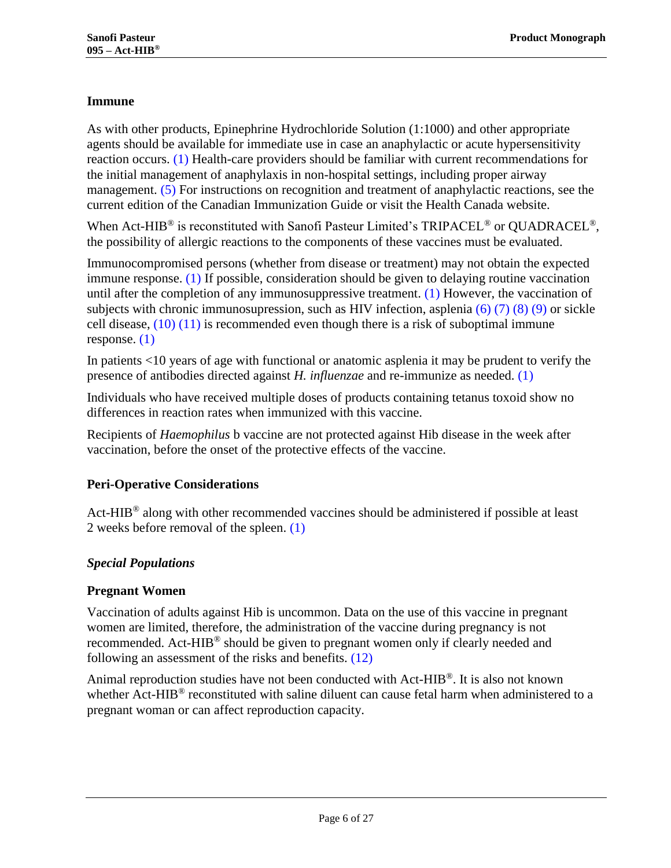## **Immune**

As with other products, Epinephrine Hydrochloride Solution (1:1000) and other appropriate agents should be available for immediate use in case an anaphylactic or acute hypersensitivity reaction occurs. [\(1\)](#page-20-0) Health-care providers should be familiar with current recommendations for the initial management of anaphylaxis in non-hospital settings, including proper airway management. [\(5\)](#page-20-4) For instructions on recognition and treatment of anaphylactic reactions, see the current edition of the Canadian Immunization Guide or visit the Health Canada website.

When Act-HIB<sup>®</sup> is reconstituted with Sanofi Pasteur Limited's TRIPACEL<sup>®</sup> or QUADRACEL<sup>®</sup>, the possibility of allergic reactions to the components of these vaccines must be evaluated.

Immunocompromised persons (whether from disease or treatment) may not obtain the expected immune response. [\(1\)](#page-20-0) If possible, consideration should be given to delaying routine vaccination until after the completion of any immunosuppressive treatment. [\(1\)](#page-20-0) However, the vaccination of subjects with chronic immunosupression, such as HIV infection, asplenia  $(6)$  [\(7\)](#page-20-6) [\(8\)](#page-20-7) [\(9\)](#page-20-8) or sickle cell disease,  $(10)(11)$  $(10)(11)$  is recommended even though there is a risk of suboptimal immune response. [\(1\)](#page-20-0)

In patients <10 years of age with functional or anatomic asplenia it may be prudent to verify the presence of antibodies directed against *H. influenzae* and re-immunize as needed. [\(1\)](#page-20-0)

Individuals who have received multiple doses of products containing tetanus toxoid show no differences in reaction rates when immunized with this vaccine.

Recipients of *Haemophilus* b vaccine are not protected against Hib disease in the week after vaccination, before the onset of the protective effects of the vaccine.

## **Peri-Operative Considerations**

Act-HIB® along with other recommended vaccines should be administered if possible at least 2 weeks before removal of the spleen. [\(1\)](#page-20-0)

## *Special Populations*

## **Pregnant Women**

Vaccination of adults against Hib is uncommon. Data on the use of this vaccine in pregnant women are limited, therefore, the administration of the vaccine during pregnancy is not recommended. Act-HIB<sup>®</sup> should be given to pregnant women only if clearly needed and following an assessment of the risks and benefits. [\(12\)](#page-20-11)

Animal reproduction studies have not been conducted with Act-HIB®. It is also not known whether Act-HIB<sup>®</sup> reconstituted with saline diluent can cause fetal harm when administered to a pregnant woman or can affect reproduction capacity.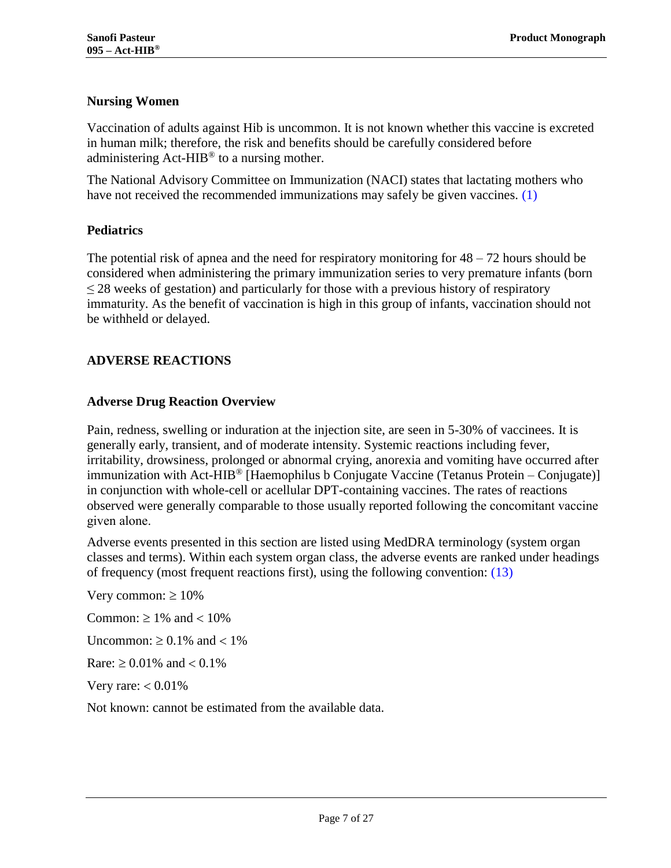## **Nursing Women**

Vaccination of adults against Hib is uncommon. It is not known whether this vaccine is excreted in human milk; therefore, the risk and benefits should be carefully considered before administering  $Act-HIB^{\circledR}$  to a nursing mother.

The National Advisory Committee on Immunization (NACI) states that lactating mothers who have not received the recommended immunizations may safely be given vaccines. [\(1\)](#page-20-0)

## **Pediatrics**

The potential risk of apnea and the need for respiratory monitoring for  $48 - 72$  hours should be considered when administering the primary immunization series to very premature infants (born  $\leq$  28 weeks of gestation) and particularly for those with a previous history of respiratory immaturity. As the benefit of vaccination is high in this group of infants, vaccination should not be withheld or delayed.

## <span id="page-6-0"></span>**ADVERSE REACTIONS**

## **Adverse Drug Reaction Overview**

Pain, redness, swelling or induration at the injection site, are seen in 5-30% of vaccinees. It is generally early, transient, and of moderate intensity. Systemic reactions including fever, irritability, drowsiness, prolonged or abnormal crying, anorexia and vomiting have occurred after immunization with Act-HIB<sup>®</sup> [Haemophilus b Conjugate Vaccine (Tetanus Protein – Conjugate)] in conjunction with whole-cell or acellular DPT-containing vaccines. The rates of reactions observed were generally comparable to those usually reported following the concomitant vaccine given alone.

Adverse events presented in this section are listed using MedDRA terminology (system organ classes and terms). Within each system organ class, the adverse events are ranked under headings of frequency (most frequent reactions first), using the following convention: [\(13\)](#page-20-12)

Very common:  $\geq 10\%$ 

Common:  $\geq 1\%$  and  $< 10\%$ 

Uncommon:  $\geq 0.1\%$  and  $\lt 1\%$ 

 $\text{Rare}: \geq 0.01\%$  and  $\lt 0.1\%$ 

Very rare:  $< 0.01\%$ 

Not known: cannot be estimated from the available data.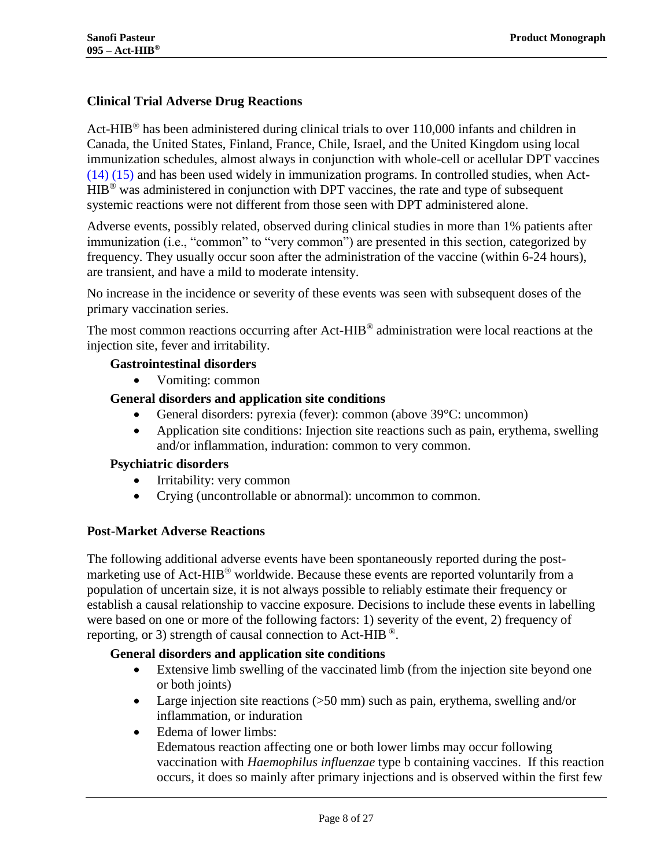## **Clinical Trial Adverse Drug Reactions**

Act-HIB<sup>®</sup> has been administered during clinical trials to over 110,000 infants and children in Canada, the United States, Finland, France, Chile, Israel, and the United Kingdom using local immunization schedules, almost always in conjunction with whole-cell or acellular DPT vaccines [\(14\)](#page-20-13) [\(15\)](#page-20-14) and has been used widely in immunization programs. In controlled studies, when Act-HIB® was administered in conjunction with DPT vaccines, the rate and type of subsequent systemic reactions were not different from those seen with DPT administered alone.

Adverse events, possibly related, observed during clinical studies in more than 1% patients after immunization (i.e., "common" to "very common") are presented in this section, categorized by frequency. They usually occur soon after the administration of the vaccine (within 6-24 hours), are transient, and have a mild to moderate intensity.

No increase in the incidence or severity of these events was seen with subsequent doses of the primary vaccination series.

The most common reactions occurring after Act-HIB<sup>®</sup> administration were local reactions at the injection site, fever and irritability.

#### **Gastrointestinal disorders**

Vomiting: common

#### **General disorders and application site conditions**

- General disorders: pyrexia (fever): common (above 39°C: uncommon)
- Application site conditions: Injection site reactions such as pain, erythema, swelling and/or inflammation, induration: common to very common.

#### **Psychiatric disorders**

- Irritability: very common
- Crying (uncontrollable or abnormal): uncommon to common.

#### **Post-Market Adverse Reactions**

The following additional adverse events have been spontaneously reported during the postmarketing use of Act-HIB<sup>®</sup> worldwide. Because these events are reported voluntarily from a population of uncertain size, it is not always possible to reliably estimate their frequency or establish a causal relationship to vaccine exposure. Decisions to include these events in labelling were based on one or more of the following factors: 1) severity of the event, 2) frequency of reporting, or 3) strength of causal connection to Act-HIB  $^{\circledR}$ .

#### **General disorders and application site conditions**

- Extensive limb swelling of the vaccinated limb (from the injection site beyond one or both joints)
- Large injection site reactions (>50 mm) such as pain, erythema, swelling and/or inflammation, or induration
- Edema of lower limbs:

Edematous reaction affecting one or both lower limbs may occur following vaccination with *Haemophilus influenzae* type b containing vaccines. If this reaction occurs, it does so mainly after primary injections and is observed within the first few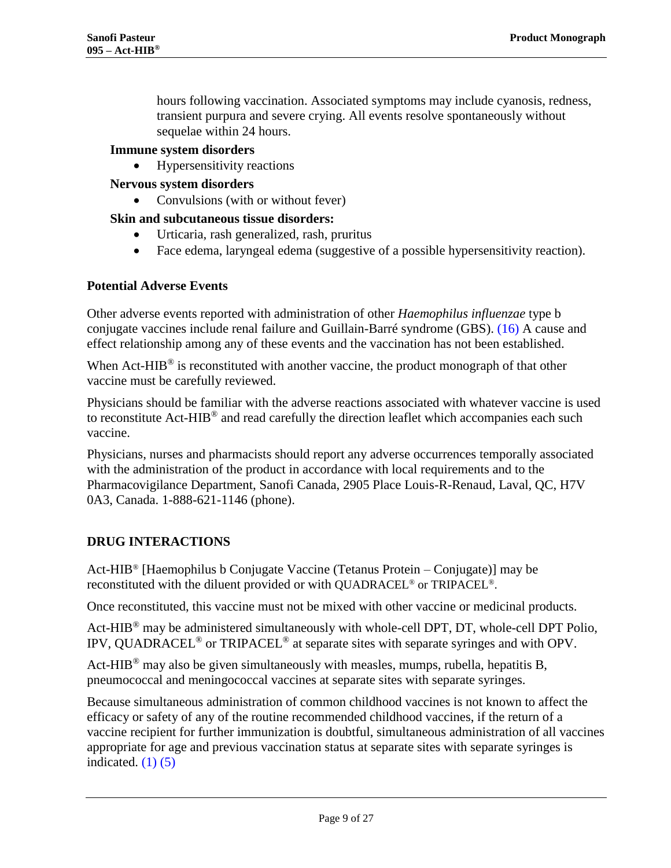hours following vaccination. Associated symptoms may include cyanosis, redness, transient purpura and severe crying. All events resolve spontaneously without sequelae within 24 hours.

#### **Immune system disorders**

Hypersensitivity reactions

#### **Nervous system disorders**

Convulsions (with or without fever)

#### **Skin and subcutaneous tissue disorders:**

- Urticaria, rash generalized, rash, pruritus
- Face edema, laryngeal edema (suggestive of a possible hypersensitivity reaction).

#### **Potential Adverse Events**

Other adverse events reported with administration of other *Haemophilus influenzae* type b conjugate vaccines include renal failure and Guillain-Barré syndrome (GBS). [\(16\)](#page-21-0) A cause and effect relationship among any of these events and the vaccination has not been established.

When Act-HIB<sup>®</sup> is reconstituted with another vaccine, the product monograph of that other vaccine must be carefully reviewed.

Physicians should be familiar with the adverse reactions associated with whatever vaccine is used to reconstitute Act-HIB<sup>®</sup> and read carefully the direction leaflet which accompanies each such vaccine.

Physicians, nurses and pharmacists should report any adverse occurrences temporally associated with the administration of the product in accordance with local requirements and to the Pharmacovigilance Department, Sanofi Canada, 2905 Place Louis-R-Renaud, Laval, QC, H7V 0A3, Canada. 1-888-621-1146 (phone).

#### <span id="page-8-0"></span>**DRUG INTERACTIONS**

Act-HIB® [Haemophilus b Conjugate Vaccine (Tetanus Protein – Conjugate)] may be reconstituted with the diluent provided or with QUADRACEL® or TRIPACEL®.

Once reconstituted, this vaccine must not be mixed with other vaccine or medicinal products.

Act-HIB<sup>®</sup> may be administered simultaneously with whole-cell DPT, DT, whole-cell DPT Polio, IPV, QUADRACEL® or TRIPACEL® at separate sites with separate syringes and with OPV.

Act-HIB<sup>®</sup> may also be given simultaneously with measles, mumps, rubella, hepatitis B, pneumococcal and meningococcal vaccines at separate sites with separate syringes.

Because simultaneous administration of common childhood vaccines is not known to affect the efficacy or safety of any of the routine recommended childhood vaccines, if the return of a vaccine recipient for further immunization is doubtful, simultaneous administration of all vaccines appropriate for age and previous vaccination status at separate sites with separate syringes is indicated.  $(1)$   $(5)$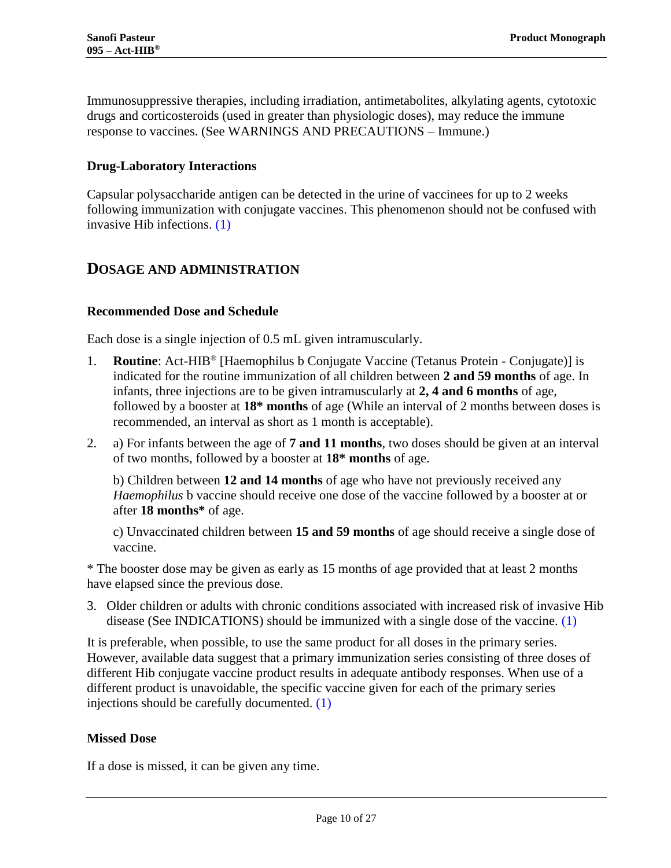Immunosuppressive therapies, including irradiation, antimetabolites, alkylating agents, cytotoxic drugs and corticosteroids (used in greater than physiologic doses), may reduce the immune response to vaccines. (See WARNINGS AND PRECAUTIONS – Immune.)

## **Drug-Laboratory Interactions**

Capsular polysaccharide antigen can be detected in the urine of vaccinees for up to 2 weeks following immunization with conjugate vaccines. This phenomenon should not be confused with invasive Hib infections. [\(1\)](#page-20-0)

## <span id="page-9-0"></span>**DOSAGE AND ADMINISTRATION**

#### **Recommended Dose and Schedule**

Each dose is a single injection of 0.5 mL given intramuscularly.

- 1. **Routine**: Act-HIB® [Haemophilus b Conjugate Vaccine (Tetanus Protein Conjugate)] is indicated for the routine immunization of all children between **2 and 59 months** of age. In infants, three injections are to be given intramuscularly at **2, 4 and 6 months** of age, followed by a booster at **18\* months** of age (While an interval of 2 months between doses is recommended, an interval as short as 1 month is acceptable).
- 2. a) For infants between the age of **7 and 11 months**, two doses should be given at an interval of two months, followed by a booster at **18\* months** of age.

b) Children between **12 and 14 months** of age who have not previously received any *Haemophilus* b vaccine should receive one dose of the vaccine followed by a booster at or after **18 months\*** of age.

c) Unvaccinated children between **15 and 59 months** of age should receive a single dose of vaccine.

\* The booster dose may be given as early as 15 months of age provided that at least 2 months have elapsed since the previous dose.

3. Older children or adults with chronic conditions associated with increased risk of invasive Hib disease (See INDICATIONS) should be immunized with a single dose of the vaccine. [\(1\)](#page-20-0)

It is preferable, when possible, to use the same product for all doses in the primary series. However, available data suggest that a primary immunization series consisting of three doses of different Hib conjugate vaccine product results in adequate antibody responses. When use of a different product is unavoidable, the specific vaccine given for each of the primary series injections should be carefully documented. [\(1\)](#page-20-0)

#### **Missed Dose**

If a dose is missed, it can be given any time.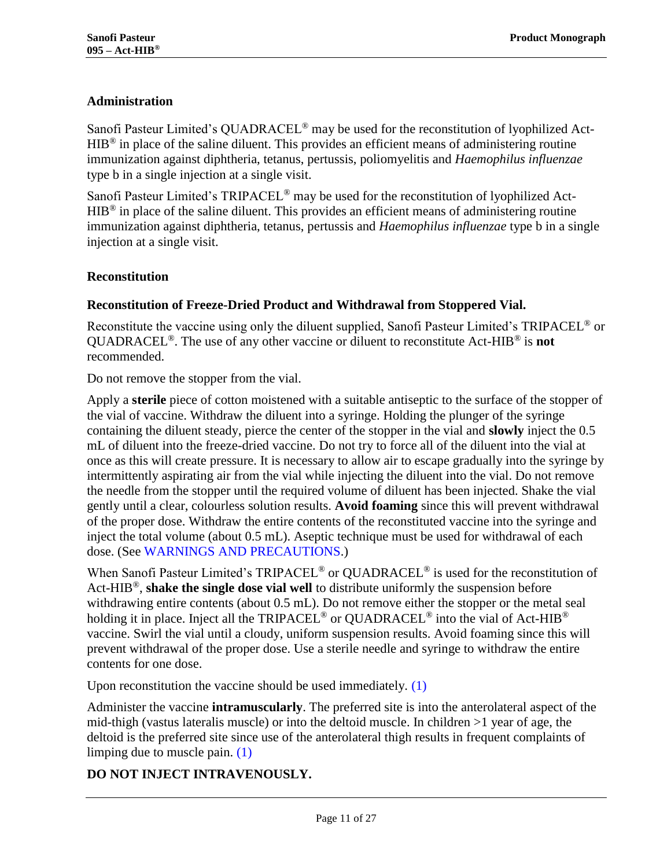## **Administration**

Sanofi Pasteur Limited's QUADRACEL® may be used for the reconstitution of lyophilized Act- $HIB<sup>®</sup>$  in place of the saline diluent. This provides an efficient means of administering routine immunization against diphtheria, tetanus, pertussis, poliomyelitis and *Haemophilus influenzae*  type b in a single injection at a single visit.

Sanofi Pasteur Limited's TRIPACEL® may be used for the reconstitution of lyophilized Act-HIB® in place of the saline diluent. This provides an efficient means of administering routine immunization against diphtheria, tetanus, pertussis and *Haemophilus influenzae* type b in a single injection at a single visit.

## **Reconstitution**

## **Reconstitution of Freeze-Dried Product and Withdrawal from Stoppered Vial.**

Reconstitute the vaccine using only the diluent supplied, Sanofi Pasteur Limited's TRIPACEL® or QUADRACEL®. The use of any other vaccine or diluent to reconstitute Act-HIB® is **not** recommended.

Do not remove the stopper from the vial.

Apply a **sterile** piece of cotton moistened with a suitable antiseptic to the surface of the stopper of the vial of vaccine. Withdraw the diluent into a syringe. Holding the plunger of the syringe containing the diluent steady, pierce the center of the stopper in the vial and **slowly** inject the 0.5 mL of diluent into the freeze-dried vaccine. Do not try to force all of the diluent into the vial at once as this will create pressure. It is necessary to allow air to escape gradually into the syringe by intermittently aspirating air from the vial while injecting the diluent into the vial. Do not remove the needle from the stopper until the required volume of diluent has been injected. Shake the vial gently until a clear, colourless solution results. **Avoid foaming** since this will prevent withdrawal of the proper dose. Withdraw the entire contents of the reconstituted vaccine into the syringe and inject the total volume (about 0.5 mL). Aseptic technique must be used for withdrawal of each dose. (See WARNINGS [AND PRECAUTIONS.](#page-4-1))

When Sanofi Pasteur Limited's TRIPACEL<sup>®</sup> or QUADRACEL<sup>®</sup> is used for the reconstitution of Act-HIB®, **shake the single dose vial well** to distribute uniformly the suspension before withdrawing entire contents (about 0.5 mL). Do not remove either the stopper or the metal seal holding it in place. Inject all the TRIPACEL<sup>®</sup> or QUADRACEL<sup>®</sup> into the vial of Act-HIB<sup>®</sup> vaccine. Swirl the vial until a cloudy, uniform suspension results. Avoid foaming since this will prevent withdrawal of the proper dose. Use a sterile needle and syringe to withdraw the entire contents for one dose.

Upon reconstitution the vaccine should be used immediately. [\(1\)](#page-20-0)

Administer the vaccine **intramuscularly**. The preferred site is into the anterolateral aspect of the mid-thigh (vastus lateralis muscle) or into the deltoid muscle. In children >1 year of age, the deltoid is the preferred site since use of the anterolateral thigh results in frequent complaints of limping due to muscle pain. [\(1\)](#page-20-0)

## **DO NOT INJECT INTRAVENOUSLY.**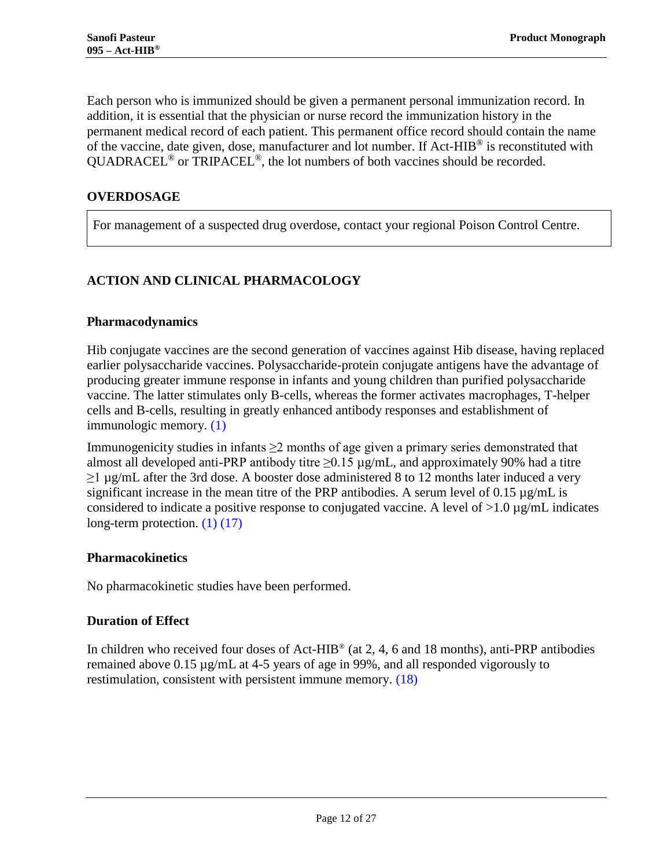Each person who is immunized should be given a permanent personal immunization record. In addition, it is essential that the physician or nurse record the immunization history in the permanent medical record of each patient. This permanent office record should contain the name of the vaccine, date given, dose, manufacturer and lot number. If Act-HIB® is reconstituted with QUADRACEL® or TRIPACEL®, the lot numbers of both vaccines should be recorded.

## <span id="page-11-0"></span>**OVERDOSAGE**

For management of a suspected drug overdose, contact your regional Poison Control Centre.

## <span id="page-11-1"></span>**ACTION AND CLINICAL PHARMACOLOGY**

## **Pharmacodynamics**

Hib conjugate vaccines are the second generation of vaccines against Hib disease, having replaced earlier polysaccharide vaccines. Polysaccharide-protein conjugate antigens have the advantage of producing greater immune response in infants and young children than purified polysaccharide vaccine. The latter stimulates only B-cells, whereas the former activates macrophages, T-helper cells and B-cells, resulting in greatly enhanced antibody responses and establishment of immunologic memory. [\(1\)](#page-20-0)

Immunogenicity studies in infants  $\geq 2$  months of age given a primary series demonstrated that almost all developed anti-PRP antibody titre  $\geq$ 0.15  $\mu$ g/mL, and approximately 90% had a titre  $\geq$ 1 µg/mL after the 3rd dose. A booster dose administered 8 to 12 months later induced a very significant increase in the mean titre of the PRP antibodies. A serum level of  $0.15 \mu g/mL$  is considered to indicate a positive response to conjugated vaccine. A level of  $>1.0 \mu g/mL$  indicates long-term protection. [\(1\)](#page-20-0) [\(17\)](#page-21-1)

#### **Pharmacokinetics**

No pharmacokinetic studies have been performed.

## **Duration of Effect**

In children who received four doses of Act-HIB® (at 2, 4, 6 and 18 months), anti-PRP antibodies remained above  $0.15 \mu g/mL$  at 4-5 years of age in 99%, and all responded vigorously to restimulation, consistent with persistent immune memory. [\(18\)](#page-21-2)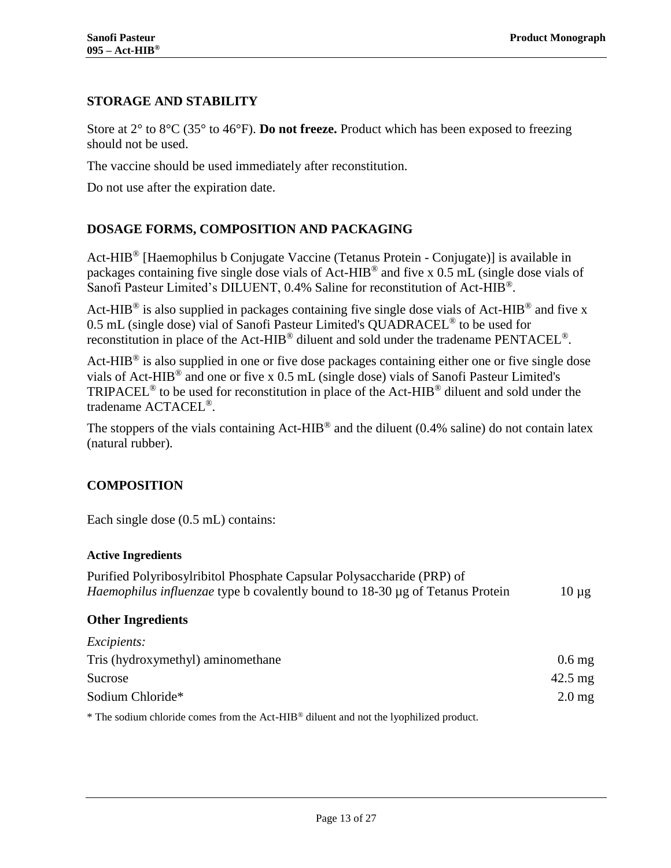## <span id="page-12-0"></span>**STORAGE AND STABILITY**

Store at 2° to 8°C (35° to 46°F). **Do not freeze.** Product which has been exposed to freezing should not be used.

The vaccine should be used immediately after reconstitution.

<span id="page-12-1"></span>Do not use after the expiration date.

## **DOSAGE FORMS, COMPOSITION AND PACKAGING**

Act-HIB<sup>®</sup> [Haemophilus b Conjugate Vaccine (Tetanus Protein - Conjugate)] is available in packages containing five single dose vials of Act-HIB® and five x 0.5 mL (single dose vials of Sanofi Pasteur Limited's DILUENT, 0.4% Saline for reconstitution of Act-HIB®.

Act-HIB<sup>®</sup> is also supplied in packages containing five single dose vials of Act-HIB<sup>®</sup> and five x 0.5 mL (single dose) vial of Sanofi Pasteur Limited's QUADRACEL® to be used for reconstitution in place of the Act-HIB<sup>®</sup> diluent and sold under the tradename PENTACEL<sup>®</sup>.

Act-HIB<sup>®</sup> is also supplied in one or five dose packages containing either one or five single dose vials of Act-HIB® and one or five x 0.5 mL (single dose) vials of Sanofi Pasteur Limited's TRIPACEL® to be used for reconstitution in place of the Act-HIB® diluent and sold under the tradename ACTACEL®.

The stoppers of the vials containing  $Act-HIB^@$  and the diluent (0.4% saline) do not contain latex (natural rubber).

## <span id="page-12-2"></span>**COMPOSITION**

Each single dose  $(0.5$  mL) contains:

#### **Active Ingredients**

| Purified Polyribosylribitol Phosphate Capsular Polysaccharide (PRP) of        |            |
|-------------------------------------------------------------------------------|------------|
| Haemophilus influenzae type b covalently bound to 18-30 µg of Tetanus Protein | $10 \mu$ g |
|                                                                               |            |

#### **Other Ingredients**

| <i>Excipients:</i>                                                                                                                                                                                                              |                     |
|---------------------------------------------------------------------------------------------------------------------------------------------------------------------------------------------------------------------------------|---------------------|
| Tris (hydroxymethyl) aminomethane                                                                                                                                                                                               | $0.6$ mg            |
| Sucrose                                                                                                                                                                                                                         | $42.5 \text{ mg}$   |
| Sodium Chloride*                                                                                                                                                                                                                | $2.0 \,\mathrm{mg}$ |
| $\ast$ 4791, and all the state of the contract of the Article of THTD (0) and a contract of the state of the state of the state of the state of the state of the state of the state of the state of the state of the state of t |                     |

\* The sodium chloride comes from the Act-HIB® diluent and not the lyophilized product.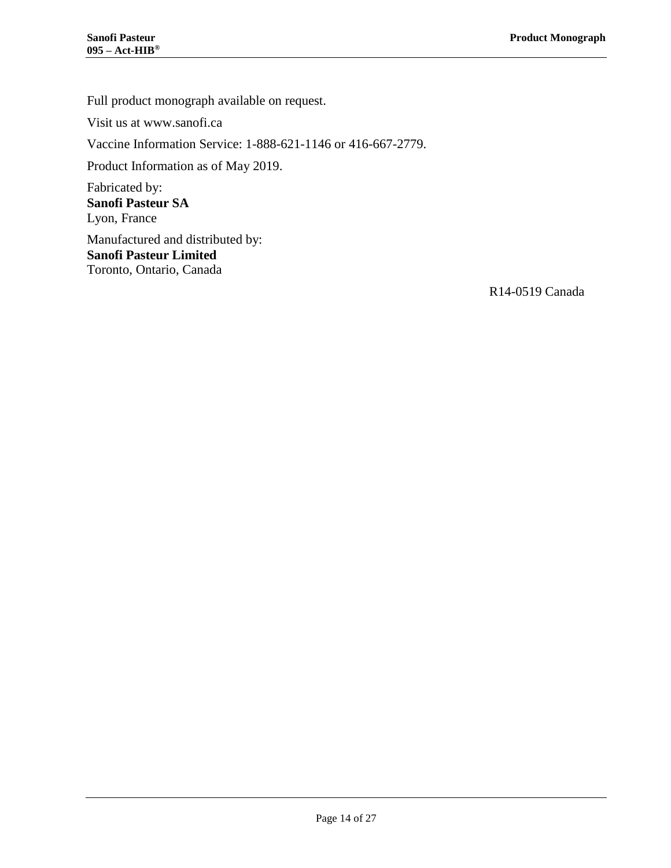Full product monograph available on request.

Visit us at www.sanofi.ca

Vaccine Information Service: 1-888-621-1146 or 416-667-2779.

Product Information as of May 2019.

Fabricated by: **Sanofi Pasteur SA** Lyon, France

Manufactured and distributed by: **Sanofi Pasteur Limited** Toronto, Ontario, Canada

R14-0519 Canada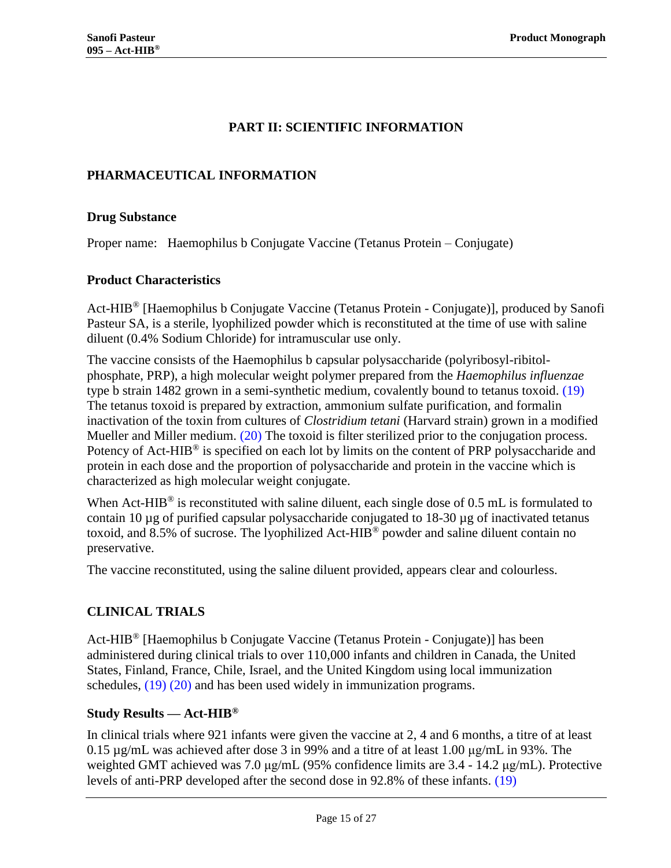## **PART II: SCIENTIFIC INFORMATION**

#### <span id="page-14-1"></span><span id="page-14-0"></span>**PHARMACEUTICAL INFORMATION**

#### **Drug Substance**

Proper name: Haemophilus b Conjugate Vaccine (Tetanus Protein – Conjugate)

#### **Product Characteristics**

Act-HIB® [Haemophilus b Conjugate Vaccine (Tetanus Protein - Conjugate)], produced by Sanofi Pasteur SA, is a sterile, lyophilized powder which is reconstituted at the time of use with saline diluent (0.4% Sodium Chloride) for intramuscular use only.

The vaccine consists of the Haemophilus b capsular polysaccharide (polyribosyl-ribitolphosphate, PRP), a high molecular weight polymer prepared from the *Haemophilus influenzae*  type b strain 1482 grown in a semi-synthetic medium, covalently bound to tetanus toxoid. [\(19\)](#page-21-3) The tetanus toxoid is prepared by extraction, ammonium sulfate purification, and formalin inactivation of the toxin from cultures of *Clostridium tetani* (Harvard strain) grown in a modified Mueller and Miller medium. [\(20\)](#page-21-4) The toxoid is filter sterilized prior to the conjugation process. Potency of Act-HIB<sup>®</sup> is specified on each lot by limits on the content of PRP polysaccharide and protein in each dose and the proportion of polysaccharide and protein in the vaccine which is characterized as high molecular weight conjugate.

When Act-HIB<sup>®</sup> is reconstituted with saline diluent, each single dose of 0.5 mL is formulated to contain 10 µg of purified capsular polysaccharide conjugated to 18-30 µg of inactivated tetanus toxoid, and 8.5% of sucrose. The lyophilized Act-HIB<sup>®</sup> powder and saline diluent contain no preservative.

<span id="page-14-2"></span>The vaccine reconstituted, using the saline diluent provided, appears clear and colourless.

#### **CLINICAL TRIALS**

Act-HIB® [Haemophilus b Conjugate Vaccine (Tetanus Protein - Conjugate)] has been administered during clinical trials to over 110,000 infants and children in Canada, the United States, Finland, France, Chile, Israel, and the United Kingdom using local immunization schedules, [\(19\)](#page-21-3) [\(20\)](#page-21-4) and has been used widely in immunization programs.

#### **Study Results — Act-HIB®**

In clinical trials where 921 infants were given the vaccine at 2, 4 and 6 months, a titre of at least 0.15 µg/mL was achieved after dose 3 in 99% and a titre of at least 1.00 μg/mL in 93%. The weighted GMT achieved was 7.0 μg/mL (95% confidence limits are 3.4 - 14.2 μg/mL). Protective levels of anti-PRP developed after the second dose in 92.8% of these infants. [\(19\)](#page-21-3)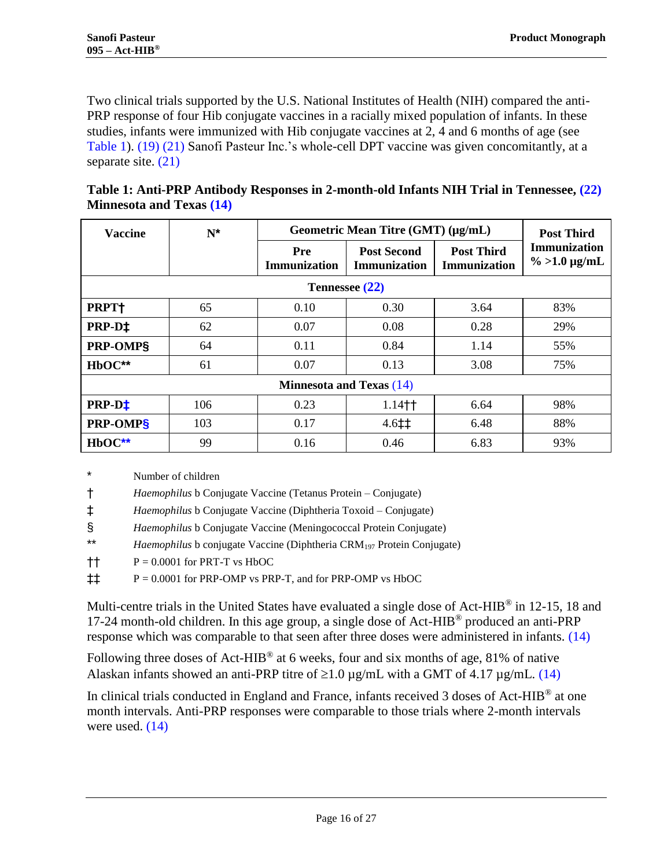Two clinical trials supported by the U.S. National Institutes of Health (NIH) compared the anti-PRP response of four Hib conjugate vaccines in a racially mixed population of infants. In these studies, infants were immunized with Hib conjugate vaccines at 2, 4 and 6 months of age (see [Table 1\)](#page-15-0). [\(19\)](#page-21-3) [\(21\)](#page-21-5) Sanofi Pasteur Inc.'s whole-cell DPT vaccine was given concomitantly, at a separate site. [\(21\)](#page-21-5)

<span id="page-15-2"></span><span id="page-15-1"></span>

| <b>Vaccine</b>                  | $N^*$ | Geometric Mean Titre (GMT) (µg/mL) | <b>Post Third</b>                         |                                          |                                    |  |  |
|---------------------------------|-------|------------------------------------|-------------------------------------------|------------------------------------------|------------------------------------|--|--|
|                                 |       | Pre<br><b>Immunization</b>         | <b>Post Second</b><br><b>Immunization</b> | <b>Post Third</b><br><b>Immunization</b> | Immunization<br>$\% >1.0 \mu g/mL$ |  |  |
| Tennessee (22)                  |       |                                    |                                           |                                          |                                    |  |  |
| PRPT+                           | 65    | 0.10                               | 0.30                                      | 3.64                                     | 83%                                |  |  |
| PRP-D‡                          | 62    | 0.07                               | 0.08                                      | 0.28                                     | 29%                                |  |  |
| PRP-OMP§                        | 64    | 0.11                               | 0.84                                      | 1.14                                     | 55%                                |  |  |
| HbOC**                          | 61    | 0.07                               | 0.13                                      | 3.08                                     | 75%                                |  |  |
| <b>Minnesota and Texas (14)</b> |       |                                    |                                           |                                          |                                    |  |  |
| PRP-D <sup>+</sup>              | 106   | 0.23                               | $1.14 +$                                  | 6.64                                     | 98%                                |  |  |
| PRP-OMPS                        | 103   | 0.17                               | $4.6 \pm 1$                               | 6.48                                     | 88%                                |  |  |
| $HbOC**$                        | 99    | 0.16                               | 0.46                                      | 6.83                                     | 93%                                |  |  |

<span id="page-15-0"></span>

| Table 1: Anti-PRP Antibody Responses in 2-month-old Infants NIH Trial in Tennessee, (22) |  |
|------------------------------------------------------------------------------------------|--|
| <b>Minnesota and Texas (14)</b>                                                          |  |

<span id="page-15-3"></span>\* Number of children

† *Haemophilus* b Conjugate Vaccine (Tetanus Protein – Conjugate)

‡ *Haemophilus* b Conjugate Vaccine (Diphtheria Toxoid – Conjugate)

§ *Haemophilus* b Conjugate Vaccine (Meningococcal Protein Conjugate)

\*\* *Haemophilus* b conjugate Vaccine (Diphtheria CRM<sup>197</sup> Protein Conjugate)

 $\dagger$  P = 0.0001 for PRT-T vs HbOC

‡‡ P = 0.0001 for PRP-OMP vs PRP-T, and for PRP-OMP vs HbOC

Multi-centre trials in the United States have evaluated a single dose of Act-HIB<sup>®</sup> in 12-15, 18 and 17-24 month-old children. In this age group, a single dose of Act-HIB® produced an anti-PRP response which was comparable to that seen after three doses were administered in infants. [\(14\)](#page-20-13)

Following three doses of Act-HIB<sup>®</sup> at 6 weeks, four and six months of age, 81% of native Alaskan infants showed an anti-PRP titre of  $\geq 1.0 \mu$ g/mL with a GMT of 4.17  $\mu$ g/mL. [\(14\)](#page-20-13)

In clinical trials conducted in England and France, infants received 3 doses of Act-HIB® at one month intervals. Anti-PRP responses were comparable to those trials where 2-month intervals were used. [\(14\)](#page-20-13)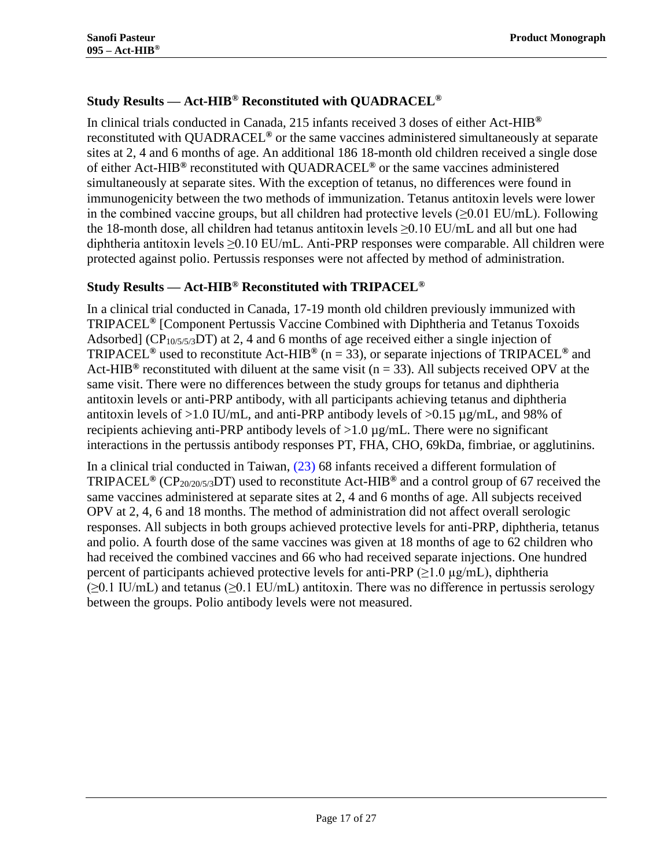## **Study Results — Act-HIB® Reconstituted with QUADRACEL®**

In clinical trials conducted in Canada, 215 infants received 3 doses of either Act-HIB**®** reconstituted with QUADRACEL**®** or the same vaccines administered simultaneously at separate sites at 2, 4 and 6 months of age. An additional 186 18-month old children received a single dose of either Act-HIB**®** reconstituted with QUADRACEL**®** or the same vaccines administered simultaneously at separate sites. With the exception of tetanus, no differences were found in immunogenicity between the two methods of immunization. Tetanus antitoxin levels were lower in the combined vaccine groups, but all children had protective levels  $(\geq 0.01 \text{ EU/mL})$ . Following the 18-month dose, all children had tetanus antitoxin levels ≥0.10 EU/mL and all but one had diphtheria antitoxin levels ≥0.10 EU/mL. Anti-PRP responses were comparable. All children were protected against polio. Pertussis responses were not affected by method of administration.

## **Study Results — Act-HIB® Reconstituted with TRIPACEL®**

In a clinical trial conducted in Canada, 17-19 month old children previously immunized with TRIPACEL**®** [Component Pertussis Vaccine Combined with Diphtheria and Tetanus Toxoids Adsorbed] ( $CP_{10/5/5/3}DT$ ) at 2, 4 and 6 months of age received either a single injection of TRIPACEL**®** used to reconstitute Act-HIB**®** (n = 33), or separate injections of TRIPACEL**®** and Act-HIB<sup>®</sup> reconstituted with diluent at the same visit ( $n = 33$ ). All subjects received OPV at the same visit. There were no differences between the study groups for tetanus and diphtheria antitoxin levels or anti-PRP antibody, with all participants achieving tetanus and diphtheria antitoxin levels of  $>1.0$  IU/mL, and anti-PRP antibody levels of  $>0.15 \mu g/mL$ , and 98% of recipients achieving anti-PRP antibody levels of  $>1.0 \mu g/mL$ . There were no significant interactions in the pertussis antibody responses PT, FHA, CHO, 69kDa, fimbriae, or agglutinins.

In a clinical trial conducted in Taiwan,  $(23)$  68 infants received a different formulation of TRIPACEL**®** (CP20/20/5/3DT) used to reconstitute Act-HIB**®** and a control group of 67 received the same vaccines administered at separate sites at 2, 4 and 6 months of age. All subjects received OPV at 2, 4, 6 and 18 months. The method of administration did not affect overall serologic responses. All subjects in both groups achieved protective levels for anti-PRP, diphtheria, tetanus and polio. A fourth dose of the same vaccines was given at 18 months of age to 62 children who had received the combined vaccines and 66 who had received separate injections. One hundred percent of participants achieved protective levels for anti-PRP ( $\geq$ 1.0 µg/mL), diphtheria  $(\geq 0.1 \text{ IU/mL})$  and tetanus ( $\geq 0.1 \text{ EU/mL}$ ) antitoxin. There was no difference in pertussis serology between the groups. Polio antibody levels were not measured.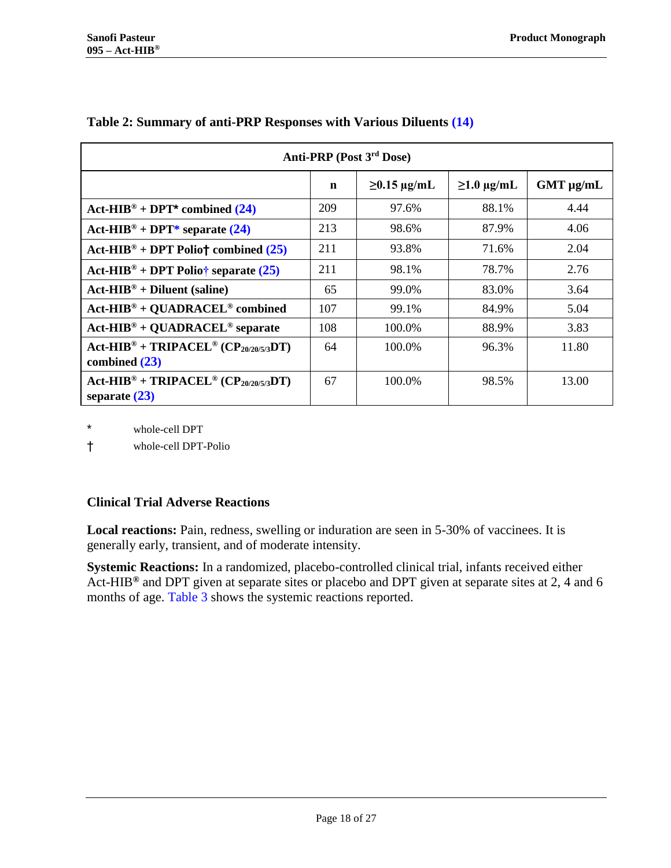<span id="page-17-1"></span><span id="page-17-0"></span>

| Anti-PRP (Post 3rd Dose)                                                                 |     |                   |                     |                |  |
|------------------------------------------------------------------------------------------|-----|-------------------|---------------------|----------------|--|
|                                                                                          | n   | $\geq$ 0.15 µg/mL | $\geq 1.0 \mu g/mL$ | $GMT \mu g/mL$ |  |
| $Act\text{-}HIB^{\circledcirc} + DPT^*$ combined (24)                                    | 209 | 97.6%             | 88.1%               | 4.44           |  |
| Act-HIB <sup>®</sup> + DPT* separate $(24)$                                              | 213 | 98.6%             | 87.9%               | 4.06           |  |
| Act-HIB <sup>®</sup> + DPT Polio† combined $(25)$                                        | 211 | 93.8%             | 71.6%               | 2.04           |  |
| Act-HIB <sup>®</sup> + DPT Polio† separate $(25)$                                        | 211 | 98.1%             | 78.7%               | 2.76           |  |
| $Act-HIB^{\circledcirc} + Diluent$ (saline)                                              | 65  | 99.0%             | 83.0%               | 3.64           |  |
| $Act$ -HIB® + QUADRACEL® combined                                                        | 107 | 99.1%             | 84.9%               | 5.04           |  |
| $Act-HIB^{\circledcirc} + QUADRACEL^{\circledcirc}$ separate                             | 108 | 100.0%            | 88.9%               | 3.83           |  |
| $Act-HIB^{\circledcirc} + TRIPACEL^{\circledcirc} (CP_{20/20/5/3}DT)$<br>combined $(23)$ | 64  | 100.0%            | 96.3%               | 11.80          |  |
| $Act-HIB^{\circledcirc} + TRIPACEL^{\circledcirc} (CP_{20/20/5/3}DT)$<br>separate $(23)$ | 67  | 100.0%            | 98.5%               | 13.00          |  |

#### **Table 2: Summary of anti-PRP Responses with Various Diluents [\(14\)](#page-20-13)**

\* whole-cell DPT

† whole-cell DPT-Polio

#### **Clinical Trial Adverse Reactions**

**Local reactions:** Pain, redness, swelling or induration are seen in 5-30% of vaccinees. It is generally early, transient, and of moderate intensity.

**Systemic Reactions:** In a randomized, placebo-controlled clinical trial, infants received either Act-HIB**®** and DPT given at separate sites or placebo and DPT given at separate sites at 2, 4 and 6 months of age. [Table 3](#page-18-0) shows the systemic reactions reported.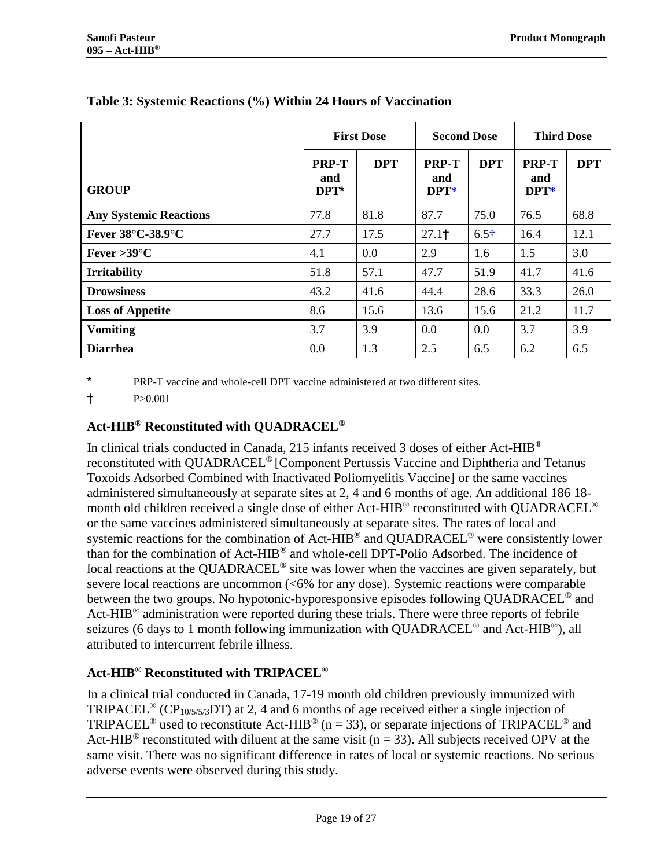<span id="page-18-2"></span><span id="page-18-1"></span>

|                               | <b>First Dose</b>              |            | <b>Second Dose</b>             |              | <b>Third Dose</b>       |            |
|-------------------------------|--------------------------------|------------|--------------------------------|--------------|-------------------------|------------|
| <b>GROUP</b>                  | <b>PRP-T</b><br>and<br>$DPT^*$ | <b>DPT</b> | <b>PRP-T</b><br>and<br>$DPT^*$ | <b>DPT</b>   | PRP-T<br>and<br>$DPT^*$ | <b>DPT</b> |
| <b>Any Systemic Reactions</b> | 77.8                           | 81.8       | 87.7                           | 75.0         | 76.5                    | 68.8       |
| Fever 38°C-38.9°C             | 27.7                           | 17.5       | $27.1+$                        | $6.5\dagger$ | 16.4                    | 12.1       |
| Fever > $39^{\circ}$ C        | 4.1                            | 0.0        | 2.9                            | 1.6          | 1.5                     | 3.0        |
| <b>Irritability</b>           | 51.8                           | 57.1       | 47.7                           | 51.9         | 41.7                    | 41.6       |
| <b>Drowsiness</b>             | 43.2                           | 41.6       | 44.4                           | 28.6         | 33.3                    | 26.0       |
| <b>Loss of Appetite</b>       | 8.6                            | 15.6       | 13.6                           | 15.6         | 21.2                    | 11.7       |
| <b>Vomiting</b>               | 3.7                            | 3.9        | 0.0                            | 0.0          | 3.7                     | 3.9        |
| <b>Diarrhea</b>               | 0.0                            | 1.3        | 2.5                            | 6.5          | 6.2                     | 6.5        |

## <span id="page-18-0"></span>**Table 3: Systemic Reactions (%) Within 24 Hours of Vaccination**

PRP-T vaccine and whole-cell DPT vaccine administered at two different sites.

† P>0.001

## **Act-HIB® Reconstituted with QUADRACEL®**

In clinical trials conducted in Canada, 215 infants received 3 doses of either Act-HIB® reconstituted with QUADRACEL® [Component Pertussis Vaccine and Diphtheria and Tetanus Toxoids Adsorbed Combined with Inactivated Poliomyelitis Vaccine] or the same vaccines administered simultaneously at separate sites at 2, 4 and 6 months of age. An additional 186 18 month old children received a single dose of either Act-HIB<sup>®</sup> reconstituted with QUADRACEL<sup>®</sup> or the same vaccines administered simultaneously at separate sites. The rates of local and systemic reactions for the combination of Act-HIB<sup>®</sup> and QUADRACEL<sup>®</sup> were consistently lower than for the combination of Act-HIB® and whole-cell DPT-Polio Adsorbed. The incidence of local reactions at the QUADRACEL<sup>®</sup> site was lower when the vaccines are given separately, but severe local reactions are uncommon (<6% for any dose). Systemic reactions were comparable between the two groups. No hypotonic-hyporesponsive episodes following QUADRACEL® and Act-HIB<sup>®</sup> administration were reported during these trials. There were three reports of febrile seizures (6 days to 1 month following immunization with QUADRACEL<sup>®</sup> and Act-HIB<sup>®</sup>), all attributed to intercurrent febrile illness.

## **Act-HIB® Reconstituted with TRIPACEL®**

In a clinical trial conducted in Canada, 17-19 month old children previously immunized with TRIPACEL<sup>®</sup> (CP<sub>10/5/5/3</sub>DT) at 2, 4 and 6 months of age received either a single injection of TRIPACEL<sup>®</sup> used to reconstitute Act-HIB<sup>®</sup> (n = 33), or separate injections of TRIPACEL<sup>®</sup> and Act-HIB<sup>®</sup> reconstituted with diluent at the same visit ( $n = 33$ ). All subjects received OPV at the same visit. There was no significant difference in rates of local or systemic reactions. No serious adverse events were observed during this study.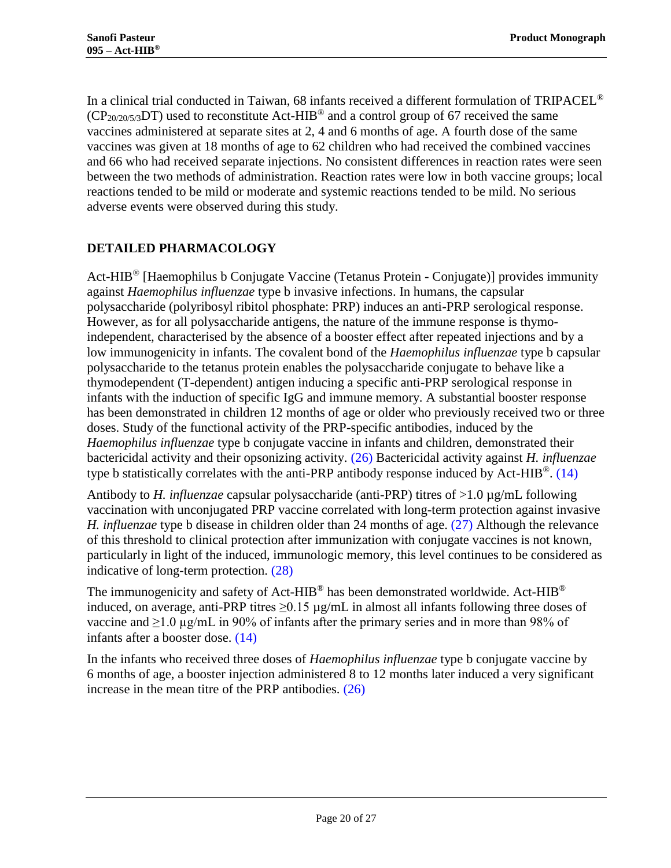In a clinical trial conducted in Taiwan, 68 infants received a different formulation of TRIPACEL®  $(CP_{20/20/5/3}DT)$  used to reconstitute Act-HIB<sup>®</sup> and a control group of 67 received the same vaccines administered at separate sites at 2, 4 and 6 months of age. A fourth dose of the same vaccines was given at 18 months of age to 62 children who had received the combined vaccines and 66 who had received separate injections. No consistent differences in reaction rates were seen between the two methods of administration. Reaction rates were low in both vaccine groups; local reactions tended to be mild or moderate and systemic reactions tended to be mild. No serious adverse events were observed during this study.

## <span id="page-19-0"></span>**DETAILED PHARMACOLOGY**

Act-HIB® [Haemophilus b Conjugate Vaccine (Tetanus Protein - Conjugate)] provides immunity against *Haemophilus influenzae* type b invasive infections. In humans, the capsular polysaccharide (polyribosyl ribitol phosphate: PRP) induces an anti-PRP serological response. However, as for all polysaccharide antigens, the nature of the immune response is thymoindependent, characterised by the absence of a booster effect after repeated injections and by a low immunogenicity in infants. The covalent bond of the *Haemophilus influenzae* type b capsular polysaccharide to the tetanus protein enables the polysaccharide conjugate to behave like a thymodependent (T-dependent) antigen inducing a specific anti-PRP serological response in infants with the induction of specific IgG and immune memory. A substantial booster response has been demonstrated in children 12 months of age or older who previously received two or three doses. Study of the functional activity of the PRP-specific antibodies, induced by the *Haemophilus influenzae* type b conjugate vaccine in infants and children, demonstrated their bactericidal activity and their opsonizing activity. [\(26\)](#page-21-10) Bactericidal activity against *H. influenzae*  type b statistically correlates with the anti-PRP antibody response induced by Act-HIB<sup>®</sup>. [\(14\)](#page-20-13)

Antibody to *H. influenzae* capsular polysaccharide (anti-PRP) titres of >1.0 µg/mL following vaccination with unconjugated PRP vaccine correlated with long-term protection against invasive *H. influenzae* type b disease in children older than 24 months of age. [\(27\)](#page-21-11) Although the relevance of this threshold to clinical protection after immunization with conjugate vaccines is not known, particularly in light of the induced, immunologic memory, this level continues to be considered as indicative of long-term protection. [\(28\)](#page-21-12)

The immunogenicity and safety of Act-HIB<sup>®</sup> has been demonstrated worldwide. Act-HIB<sup>®</sup> induced, on average, anti-PRP titres  $\geq 0.15 \mu g/mL$  in almost all infants following three doses of vaccine and  $\geq 1.0 \,\mu g/mL$  in 90% of infants after the primary series and in more than 98% of infants after a booster dose. [\(14\)](#page-20-13)

In the infants who received three doses of *Haemophilus influenzae* type b conjugate vaccine by 6 months of age, a booster injection administered 8 to 12 months later induced a very significant increase in the mean titre of the PRP antibodies. [\(26\)](#page-21-10)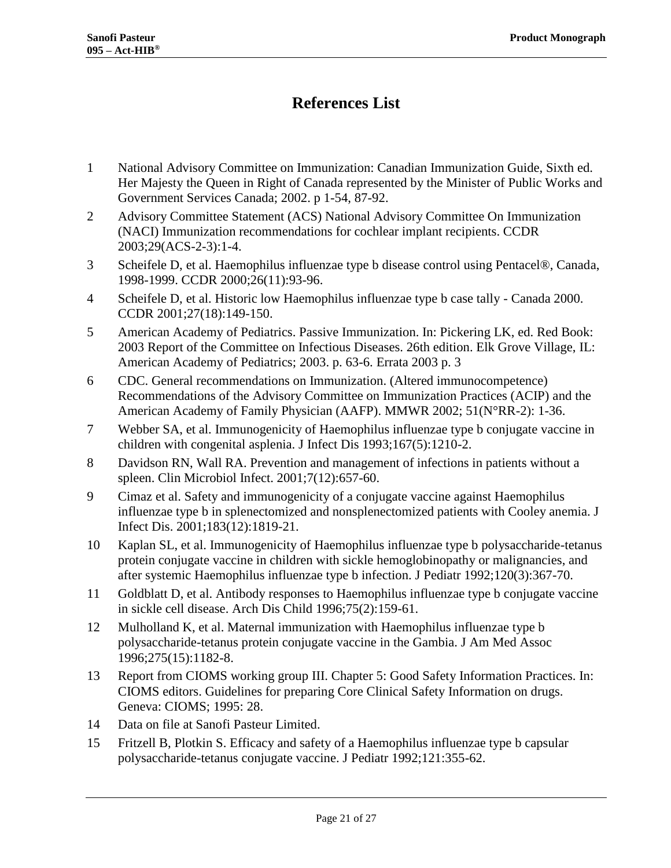## **References List**

- <span id="page-20-0"></span>1 National Advisory Committee on Immunization: Canadian Immunization Guide, Sixth ed. Her Majesty the Queen in Right of Canada represented by the Minister of Public Works and Government Services Canada; 2002. p 1-54, 87-92.
- <span id="page-20-1"></span>2 Advisory Committee Statement (ACS) National Advisory Committee On Immunization (NACI) Immunization recommendations for cochlear implant recipients. CCDR 2003;29(ACS-2-3):1-4.
- <span id="page-20-2"></span>3 Scheifele D, et al. Haemophilus influenzae type b disease control using Pentacel®, Canada, 1998-1999. CCDR 2000;26(11):93-96.
- <span id="page-20-3"></span>4 Scheifele D, et al. Historic low Haemophilus influenzae type b case tally - Canada 2000. CCDR 2001;27(18):149-150.
- <span id="page-20-4"></span>5 American Academy of Pediatrics. Passive Immunization. In: Pickering LK, ed. Red Book: 2003 Report of the Committee on Infectious Diseases. 26th edition. Elk Grove Village, IL: American Academy of Pediatrics; 2003. p. 63-6. Errata 2003 p. 3
- <span id="page-20-5"></span>6 CDC. General recommendations on Immunization. (Altered immunocompetence) Recommendations of the Advisory Committee on Immunization Practices (ACIP) and the American Academy of Family Physician (AAFP). MMWR 2002; 51(N°RR-2): 1-36.
- <span id="page-20-6"></span>7 Webber SA, et al. Immunogenicity of Haemophilus influenzae type b conjugate vaccine in children with congenital asplenia. J Infect Dis 1993;167(5):1210-2.
- <span id="page-20-7"></span>8 Davidson RN, Wall RA. Prevention and management of infections in patients without a spleen. Clin Microbiol Infect. 2001;7(12):657-60.
- <span id="page-20-8"></span>9 Cimaz et al. Safety and immunogenicity of a conjugate vaccine against Haemophilus influenzae type b in splenectomized and nonsplenectomized patients with Cooley anemia. J Infect Dis. 2001;183(12):1819-21.
- <span id="page-20-9"></span>10 Kaplan SL, et al. Immunogenicity of Haemophilus influenzae type b polysaccharide-tetanus protein conjugate vaccine in children with sickle hemoglobinopathy or malignancies, and after systemic Haemophilus influenzae type b infection. J Pediatr 1992;120(3):367-70.
- <span id="page-20-10"></span>11 Goldblatt D, et al. Antibody responses to Haemophilus influenzae type b conjugate vaccine in sickle cell disease. Arch Dis Child 1996;75(2):159-61.
- <span id="page-20-11"></span>12 Mulholland K, et al. Maternal immunization with Haemophilus influenzae type b polysaccharide-tetanus protein conjugate vaccine in the Gambia. J Am Med Assoc 1996;275(15):1182-8.
- <span id="page-20-12"></span>13 Report from CIOMS working group III. Chapter 5: Good Safety Information Practices. In: CIOMS editors. Guidelines for preparing Core Clinical Safety Information on drugs. Geneva: CIOMS; 1995: 28.
- <span id="page-20-13"></span>14 Data on file at Sanofi Pasteur Limited.
- <span id="page-20-14"></span>15 Fritzell B, Plotkin S. Efficacy and safety of a Haemophilus influenzae type b capsular polysaccharide-tetanus conjugate vaccine. J Pediatr 1992;121:355-62.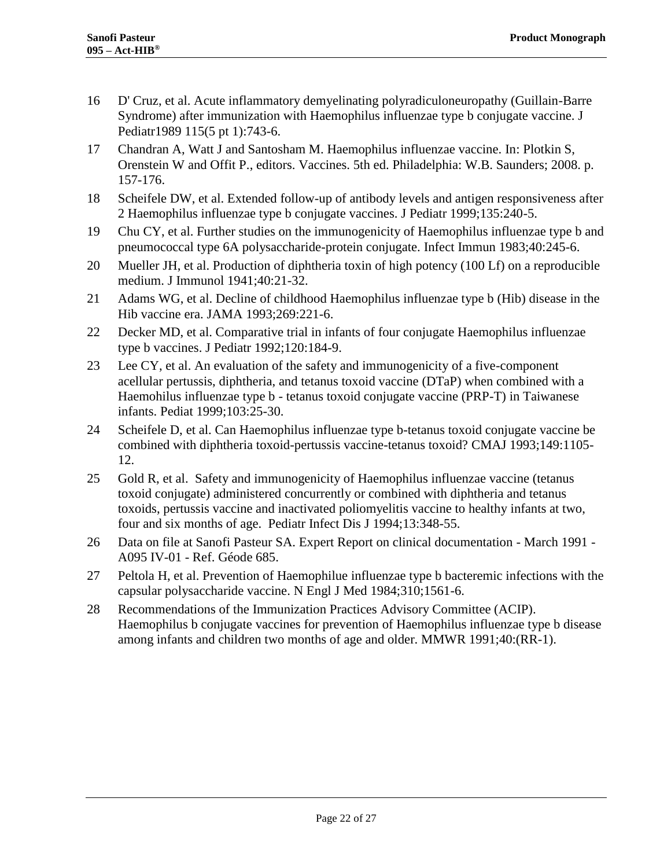- <span id="page-21-0"></span>16 D' Cruz, et al. Acute inflammatory demyelinating polyradiculoneuropathy (Guillain-Barre Syndrome) after immunization with Haemophilus influenzae type b conjugate vaccine. J Pediatr1989 115(5 pt 1):743-6.
- <span id="page-21-1"></span>17 Chandran A, Watt J and Santosham M. Haemophilus influenzae vaccine. In: Plotkin S, Orenstein W and Offit P., editors. Vaccines. 5th ed. Philadelphia: W.B. Saunders; 2008. p. 157-176.
- <span id="page-21-2"></span>18 Scheifele DW, et al. Extended follow-up of antibody levels and antigen responsiveness after 2 Haemophilus influenzae type b conjugate vaccines. J Pediatr 1999;135:240-5.
- <span id="page-21-3"></span>19 Chu CY, et al. Further studies on the immunogenicity of Haemophilus influenzae type b and pneumococcal type 6A polysaccharide-protein conjugate. Infect Immun 1983;40:245-6.
- <span id="page-21-4"></span>20 Mueller JH, et al. Production of diphtheria toxin of high potency (100 Lf) on a reproducible medium. J Immunol 1941;40:21-32.
- <span id="page-21-5"></span>21 Adams WG, et al. Decline of childhood Haemophilus influenzae type b (Hib) disease in the Hib vaccine era. JAMA 1993;269:221-6.
- <span id="page-21-6"></span>22 Decker MD, et al. Comparative trial in infants of four conjugate Haemophilus influenzae type b vaccines. J Pediatr 1992;120:184-9.
- <span id="page-21-7"></span>23 Lee CY, et al. An evaluation of the safety and immunogenicity of a five-component acellular pertussis, diphtheria, and tetanus toxoid vaccine (DTaP) when combined with a Haemohilus influenzae type b - tetanus toxoid conjugate vaccine (PRP-T) in Taiwanese infants. Pediat 1999;103:25-30.
- <span id="page-21-8"></span>24 Scheifele D, et al. Can Haemophilus influenzae type b-tetanus toxoid conjugate vaccine be combined with diphtheria toxoid-pertussis vaccine-tetanus toxoid? CMAJ 1993;149:1105- 12.
- <span id="page-21-9"></span>25 Gold R, et al. Safety and immunogenicity of Haemophilus influenzae vaccine (tetanus toxoid conjugate) administered concurrently or combined with diphtheria and tetanus toxoids, pertussis vaccine and inactivated poliomyelitis vaccine to healthy infants at two, four and six months of age. Pediatr Infect Dis J 1994;13:348-55.
- <span id="page-21-10"></span>26 Data on file at Sanofi Pasteur SA. Expert Report on clinical documentation - March 1991 - A095 IV-01 - Ref. Géode 685.
- <span id="page-21-11"></span>27 Peltola H, et al. Prevention of Haemophilue influenzae type b bacteremic infections with the capsular polysaccharide vaccine. N Engl J Med 1984;310;1561-6.
- <span id="page-21-12"></span>28 Recommendations of the Immunization Practices Advisory Committee (ACIP). Haemophilus b conjugate vaccines for prevention of Haemophilus influenzae type b disease among infants and children two months of age and older. MMWR 1991;40:(RR-1).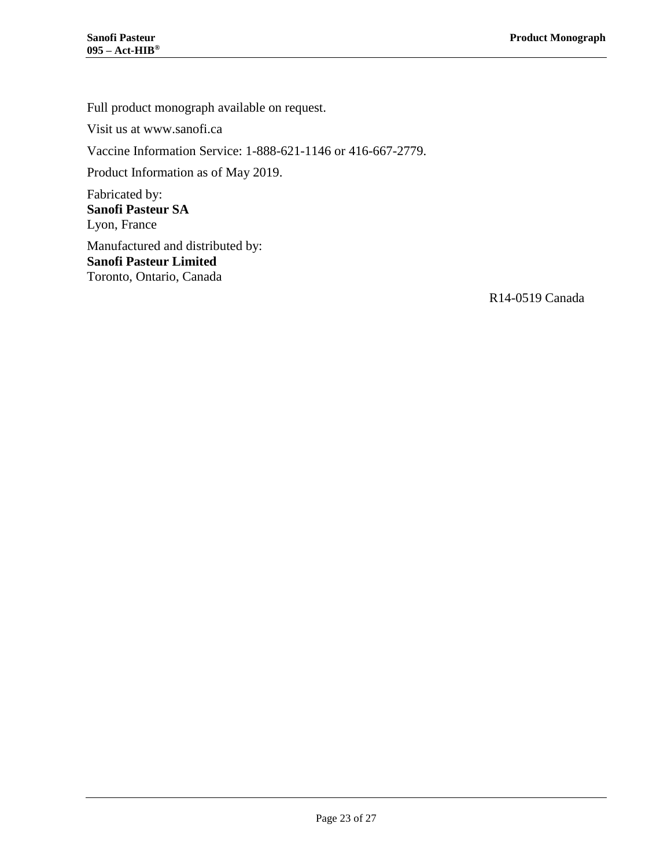Full product monograph available on request.

Visit us at www.sanofi.ca

Vaccine Information Service: 1-888-621-1146 or 416-667-2779.

Product Information as of May 2019.

Fabricated by: **Sanofi Pasteur SA** Lyon, France

Manufactured and distributed by: **Sanofi Pasteur Limited** Toronto, Ontario, Canada

R14-0519 Canada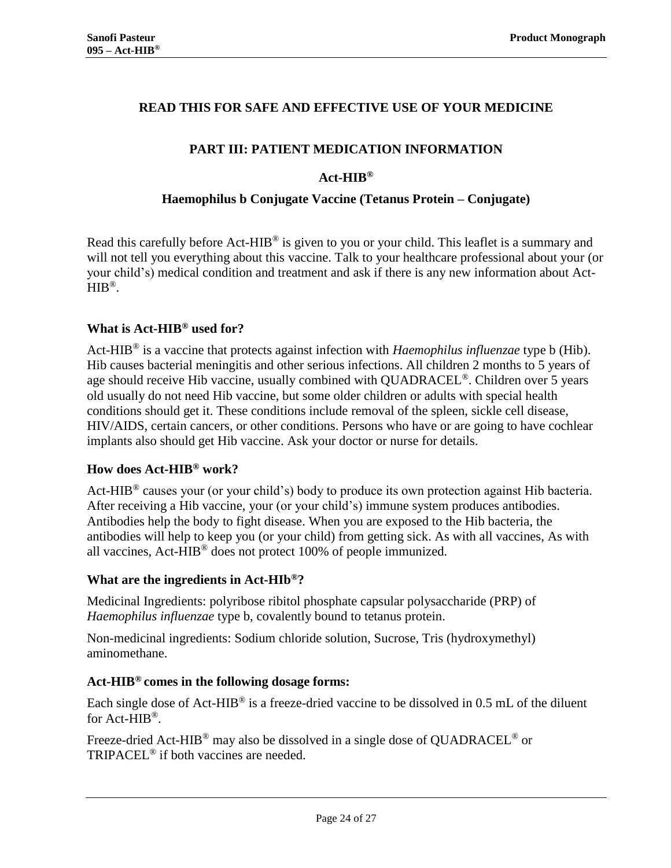## <span id="page-23-0"></span>**READ THIS FOR SAFE AND EFFECTIVE USE OF YOUR MEDICINE**

## **PART III: PATIENT MEDICATION INFORMATION**

## **Act-HIB®**

#### **Haemophilus b Conjugate Vaccine (Tetanus Protein – Conjugate)**

Read this carefully before Act-HIB® is given to you or your child. This leaflet is a summary and will not tell you everything about this vaccine. Talk to your healthcare professional about your (or your child's) medical condition and treatment and ask if there is any new information about Act- $HIB^{\circledR}$ .

## **What is Act-HIB® used for?**

Act-HIB® is a vaccine that protects against infection with *Haemophilus influenzae* type b (Hib). Hib causes bacterial meningitis and other serious infections. All children 2 months to 5 years of age should receive Hib vaccine, usually combined with QUADRACEL<sup>®</sup>. Children over 5 years old usually do not need Hib vaccine, but some older children or adults with special health conditions should get it. These conditions include removal of the spleen, sickle cell disease, HIV/AIDS, certain cancers, or other conditions. Persons who have or are going to have cochlear implants also should get Hib vaccine. Ask your doctor or nurse for details.

#### **How does Act-HIB® work?**

Act-HIB<sup>®</sup> causes your (or your child's) body to produce its own protection against Hib bacteria. After receiving a Hib vaccine, your (or your child's) immune system produces antibodies. Antibodies help the body to fight disease. When you are exposed to the Hib bacteria, the antibodies will help to keep you (or your child) from getting sick. As with all vaccines, As with all vaccines, Act-HIB® does not protect 100% of people immunized.

#### **What are the ingredients in Act-HIb®?**

Medicinal Ingredients: polyribose ribitol phosphate capsular polysaccharide (PRP) of *Haemophilus influenzae* type b, covalently bound to tetanus protein.

Non-medicinal ingredients: Sodium chloride solution, Sucrose, Tris (hydroxymethyl) aminomethane.

#### **Act-HIB® comes in the following dosage forms:**

Each single dose of Act-HIB<sup>®</sup> is a freeze-dried vaccine to be dissolved in 0.5 mL of the diluent for Act-HIB®.

Freeze-dried Act-HIB<sup>®</sup> may also be dissolved in a single dose of QUADRACEL<sup>®</sup> or TRIPACEL® if both vaccines are needed.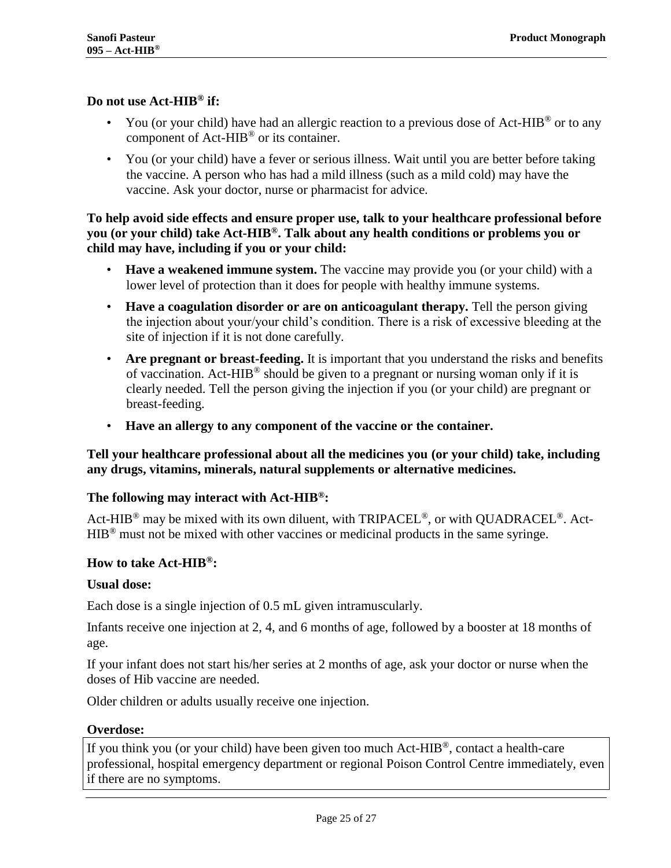#### **Do not use Act-HIB® if:**

- You (or your child) have had an allergic reaction to a previous dose of Act-HIB<sup>®</sup> or to any component of Act-HIB® or its container.
- You (or your child) have a fever or serious illness. Wait until you are better before taking the vaccine. A person who has had a mild illness (such as a mild cold) may have the vaccine. Ask your doctor, nurse or pharmacist for advice.

## **To help avoid side effects and ensure proper use, talk to your healthcare professional before you (or your child) take Act-HIB®. Talk about any health conditions or problems you or child may have, including if you or your child:**

- **Have a weakened immune system.** The vaccine may provide you (or your child) with a lower level of protection than it does for people with healthy immune systems.
- **Have a coagulation disorder or are on anticoagulant therapy.** Tell the person giving the injection about your/your child's condition. There is a risk of excessive bleeding at the site of injection if it is not done carefully.
- **Are pregnant or breast-feeding.** It is important that you understand the risks and benefits of vaccination. Act-HIB® should be given to a pregnant or nursing woman only if it is clearly needed. Tell the person giving the injection if you (or your child) are pregnant or breast-feeding.
- **Have an allergy to any component of the vaccine or the container.**

## **Tell your healthcare professional about all the medicines you (or your child) take, including any drugs, vitamins, minerals, natural supplements or alternative medicines.**

#### **The following may interact with Act-HIB®:**

Act-HIB<sup>®</sup> may be mixed with its own diluent, with TRIPACEL<sup>®</sup>, or with QUADRACEL<sup>®</sup>. Act-HIB® must not be mixed with other vaccines or medicinal products in the same syringe.

#### **How to take Act-HIB®:**

#### **Usual dose:**

Each dose is a single injection of 0.5 mL given intramuscularly.

Infants receive one injection at 2, 4, and 6 months of age, followed by a booster at 18 months of age.

If your infant does not start his/her series at 2 months of age, ask your doctor or nurse when the doses of Hib vaccine are needed.

Older children or adults usually receive one injection.

#### **Overdose:**

If you think you (or your child) have been given too much Act-HIB®, contact a health-care professional, hospital emergency department or regional Poison Control Centre immediately, even if there are no symptoms.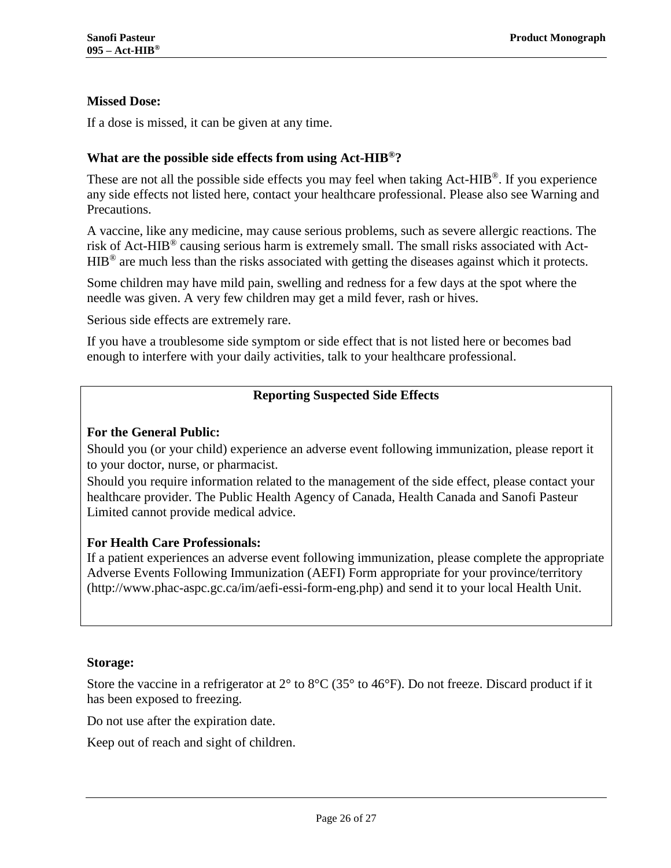## **Missed Dose:**

If a dose is missed, it can be given at any time.

#### **What are the possible side effects from using Act-HIB®?**

These are not all the possible side effects you may feel when taking  $Act-HIB^{\circledcirc}$ . If you experience any side effects not listed here, contact your healthcare professional. Please also see Warning and Precautions.

A vaccine, like any medicine, may cause serious problems, such as severe allergic reactions. The risk of Act-HIB® causing serious harm is extremely small. The small risks associated with Act-HIB<sup>®</sup> are much less than the risks associated with getting the diseases against which it protects.

Some children may have mild pain, swelling and redness for a few days at the spot where the needle was given. A very few children may get a mild fever, rash or hives.

Serious side effects are extremely rare.

If you have a troublesome side symptom or side effect that is not listed here or becomes bad enough to interfere with your daily activities, talk to your healthcare professional.

## **Reporting Suspected Side Effects**

#### **For the General Public:**

Should you (or your child) experience an adverse event following immunization, please report it to your doctor, nurse, or pharmacist.

Should you require information related to the management of the side effect, please contact your healthcare provider. The Public Health Agency of Canada, Health Canada and Sanofi Pasteur Limited cannot provide medical advice.

#### **For Health Care Professionals:**

If a patient experiences an adverse event following immunization, please complete the appropriate Adverse Events Following Immunization (AEFI) Form appropriate for your province/territory (http://www.phac-aspc.gc.ca/im/aefi-essi-form-eng.php) and send it to your local Health Unit.

#### **Storage:**

Store the vaccine in a refrigerator at 2° to 8°C (35° to 46°F). Do not freeze. Discard product if it has been exposed to freezing.

Do not use after the expiration date.

Keep out of reach and sight of children.